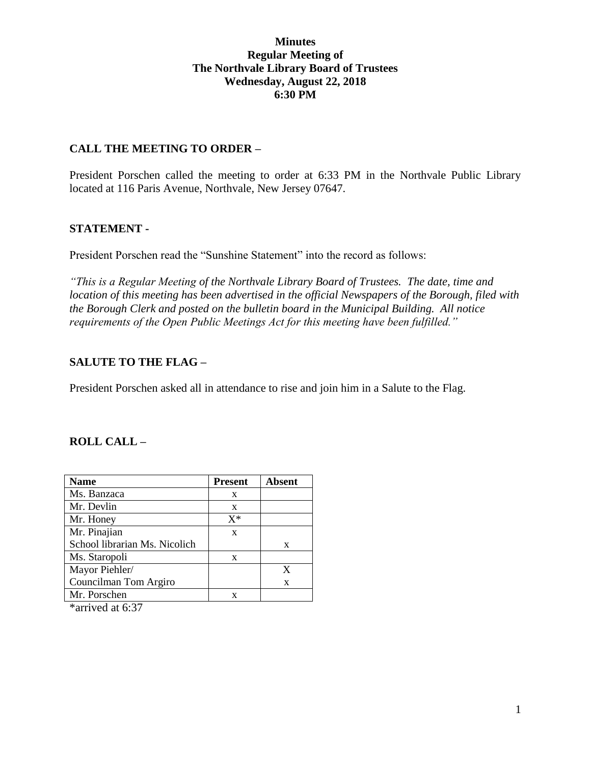## **Minutes Regular Meeting of The Northvale Library Board of Trustees Wednesday, August 22, 2018 6:30 PM**

## **CALL THE MEETING TO ORDER –**

President Porschen called the meeting to order at 6:33 PM in the Northvale Public Library located at 116 Paris Avenue, Northvale, New Jersey 07647.

### **STATEMENT -**

President Porschen read the "Sunshine Statement" into the record as follows:

*"This is a Regular Meeting of the Northvale Library Board of Trustees. The date, time and location of this meeting has been advertised in the official Newspapers of the Borough, filed with the Borough Clerk and posted on the bulletin board in the Municipal Building. All notice requirements of the Open Public Meetings Act for this meeting have been fulfilled."* 

## **SALUTE TO THE FLAG –**

President Porschen asked all in attendance to rise and join him in a Salute to the Flag.

#### **ROLL CALL –**

| <b>Name</b>                   | <b>Present</b> | <b>Absent</b> |
|-------------------------------|----------------|---------------|
| Ms. Banzaca                   | X              |               |
| Mr. Devlin                    | X              |               |
| Mr. Honey                     | $X^*$          |               |
| Mr. Pinajian                  | X              |               |
| School librarian Ms. Nicolich |                | X             |
| Ms. Staropoli                 | X              |               |
| Mayor Piehler/                |                | X             |
| Councilman Tom Argiro         |                | X             |
| Mr. Porschen                  | X              |               |

\*arrived at 6:37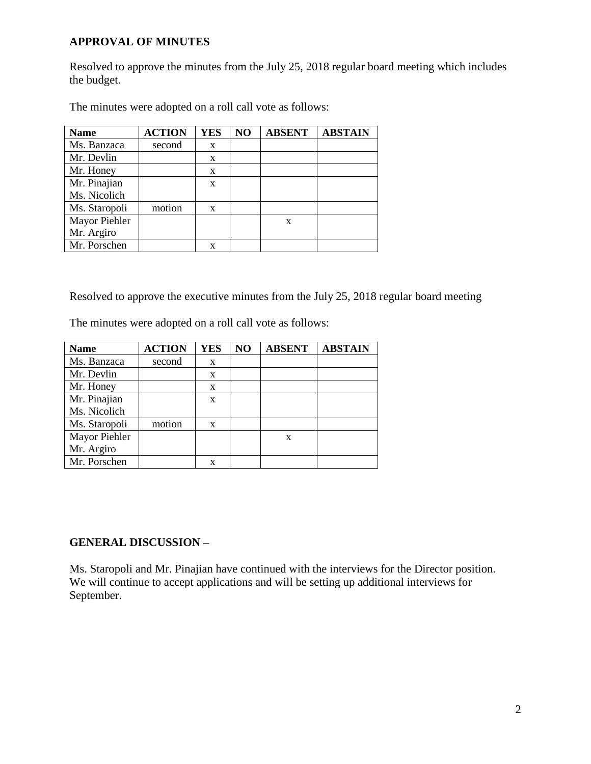## **APPROVAL OF MINUTES**

Resolved to approve the minutes from the July 25, 2018 regular board meeting which includes the budget.

| <b>Name</b>   | <b>ACTION</b> | <b>YES</b> | NO | <b>ABSENT</b> | <b>ABSTAIN</b> |
|---------------|---------------|------------|----|---------------|----------------|
| Ms. Banzaca   | second        | X          |    |               |                |
| Mr. Devlin    |               | X          |    |               |                |
| Mr. Honey     |               | X          |    |               |                |
| Mr. Pinajian  |               | X          |    |               |                |
| Ms. Nicolich  |               |            |    |               |                |
| Ms. Staropoli | motion        | X          |    |               |                |
| Mayor Piehler |               |            |    | X             |                |
| Mr. Argiro    |               |            |    |               |                |
| Mr. Porschen  |               | X          |    |               |                |

The minutes were adopted on a roll call vote as follows:

Resolved to approve the executive minutes from the July 25, 2018 regular board meeting

The minutes were adopted on a roll call vote as follows:

| <b>Name</b>   | <b>ACTION</b> | <b>YES</b> | NO | <b>ABSENT</b> | <b>ABSTAIN</b> |
|---------------|---------------|------------|----|---------------|----------------|
| Ms. Banzaca   | second        | X          |    |               |                |
| Mr. Devlin    |               | X          |    |               |                |
| Mr. Honey     |               | X          |    |               |                |
| Mr. Pinajian  |               | X          |    |               |                |
| Ms. Nicolich  |               |            |    |               |                |
| Ms. Staropoli | motion        | X          |    |               |                |
| Mayor Piehler |               |            |    | X             |                |
| Mr. Argiro    |               |            |    |               |                |
| Mr. Porschen  |               | x          |    |               |                |

# **GENERAL DISCUSSION –**

Ms. Staropoli and Mr. Pinajian have continued with the interviews for the Director position. We will continue to accept applications and will be setting up additional interviews for September.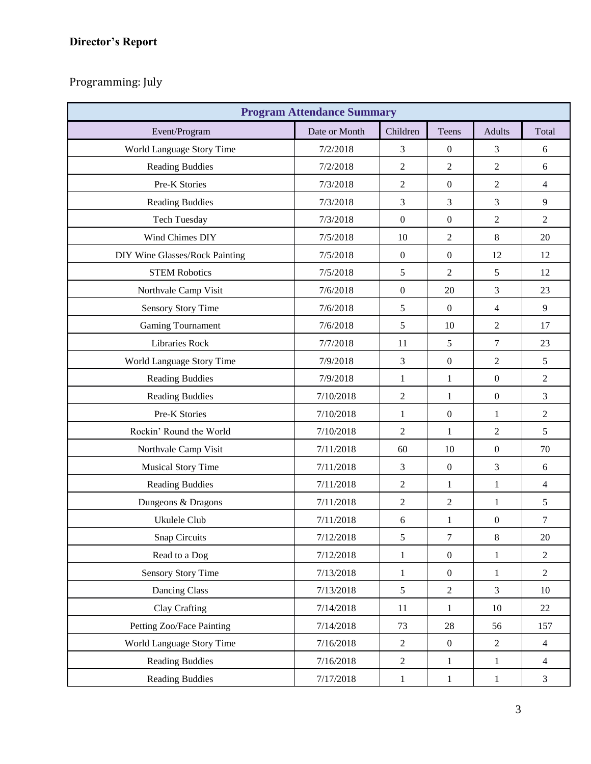# **Director's Report**

Programming: July

| <b>Program Attendance Summary</b> |               |                  |                  |                  |                |  |  |
|-----------------------------------|---------------|------------------|------------------|------------------|----------------|--|--|
| Event/Program                     | Date or Month | Children         | Teens            | <b>Adults</b>    | Total          |  |  |
| World Language Story Time         | 7/2/2018      | 3                | $\boldsymbol{0}$ | 3                | 6              |  |  |
| Reading Buddies                   | 7/2/2018      | $\overline{2}$   | 2                | 2                | 6              |  |  |
| Pre-K Stories                     | 7/3/2018      | $\overline{2}$   | $\boldsymbol{0}$ | $\overline{2}$   | $\overline{4}$ |  |  |
| Reading Buddies                   | 7/3/2018      | 3                | 3                | 3                | 9              |  |  |
| <b>Tech Tuesday</b>               | 7/3/2018      | $\boldsymbol{0}$ | $\boldsymbol{0}$ | $\overline{2}$   | $\overline{2}$ |  |  |
| Wind Chimes DIY                   | 7/5/2018      | 10               | 2                | 8                | 20             |  |  |
| DIY Wine Glasses/Rock Painting    | 7/5/2018      | $\boldsymbol{0}$ | $\overline{0}$   | 12               | 12             |  |  |
| <b>STEM Robotics</b>              | 7/5/2018      | 5                | 2                | 5                | 12             |  |  |
| Northvale Camp Visit              | 7/6/2018      | $\boldsymbol{0}$ | 20               | 3                | 23             |  |  |
| <b>Sensory Story Time</b>         | 7/6/2018      | 5                | $\boldsymbol{0}$ | $\overline{4}$   | 9              |  |  |
| Gaming Tournament                 | 7/6/2018      | 5                | 10               | $\overline{2}$   | 17             |  |  |
| <b>Libraries Rock</b>             | 7/7/2018      | 11               | 5                | $\overline{7}$   | 23             |  |  |
| World Language Story Time         | 7/9/2018      | 3                | $\boldsymbol{0}$ | $\overline{2}$   | 5              |  |  |
| Reading Buddies                   | 7/9/2018      | $\mathbf{1}$     | $\mathbf{1}$     | $\mathbf{0}$     | $\overline{2}$ |  |  |
| <b>Reading Buddies</b>            | 7/10/2018     | $\overline{2}$   | $\mathbf{1}$     | $\boldsymbol{0}$ | 3              |  |  |
| Pre-K Stories                     | 7/10/2018     | $\mathbf{1}$     | $\boldsymbol{0}$ | $\mathbf{1}$     | $\overline{c}$ |  |  |
| Rockin' Round the World           | 7/10/2018     | $\overline{2}$   | 1                | $\mathfrak{2}$   | 5              |  |  |
| Northvale Camp Visit              | 7/11/2018     | 60               | 10               | $\boldsymbol{0}$ | 70             |  |  |
| <b>Musical Story Time</b>         | 7/11/2018     | 3                | $\boldsymbol{0}$ | 3                | 6              |  |  |
| Reading Buddies                   | 7/11/2018     | $\overline{2}$   | $\mathbf{1}$     | $\mathbf{1}$     | $\overline{4}$ |  |  |
| Dungeons & Dragons                | 7/11/2018     | $\overline{2}$   | $\overline{c}$   | $\mathbf{1}$     | 5              |  |  |
| Ukulele Club                      | 7/11/2018     | 6                | $\mathbf{1}$     | $\boldsymbol{0}$ | 7              |  |  |
| <b>Snap Circuits</b>              | 7/12/2018     | 5                | 7                | $8\,$            | 20             |  |  |
| Read to a Dog                     | 7/12/2018     | $\mathbf{1}$     | $\boldsymbol{0}$ | $\mathbf{1}$     | $\overline{2}$ |  |  |
| <b>Sensory Story Time</b>         | 7/13/2018     | $\mathbf{1}$     | $\boldsymbol{0}$ | $\mathbf{1}$     | $\overline{2}$ |  |  |
| Dancing Class                     | 7/13/2018     | 5                | $\overline{2}$   | $\mathfrak{Z}$   | 10             |  |  |
| Clay Crafting                     | 7/14/2018     | 11               | 1                | 10               | 22             |  |  |
| Petting Zoo/Face Painting         | 7/14/2018     | 73               | 28               | 56               | 157            |  |  |
| World Language Story Time         | 7/16/2018     | $\overline{2}$   | $\boldsymbol{0}$ | $\sqrt{2}$       | $\overline{4}$ |  |  |
| <b>Reading Buddies</b>            | 7/16/2018     | $\overline{2}$   | 1                | $\mathbf{1}$     | $\overline{4}$ |  |  |
| <b>Reading Buddies</b>            | 7/17/2018     | $\mathbf{1}$     | $\mathbf{1}$     | $\mathbf{1}$     | $\overline{3}$ |  |  |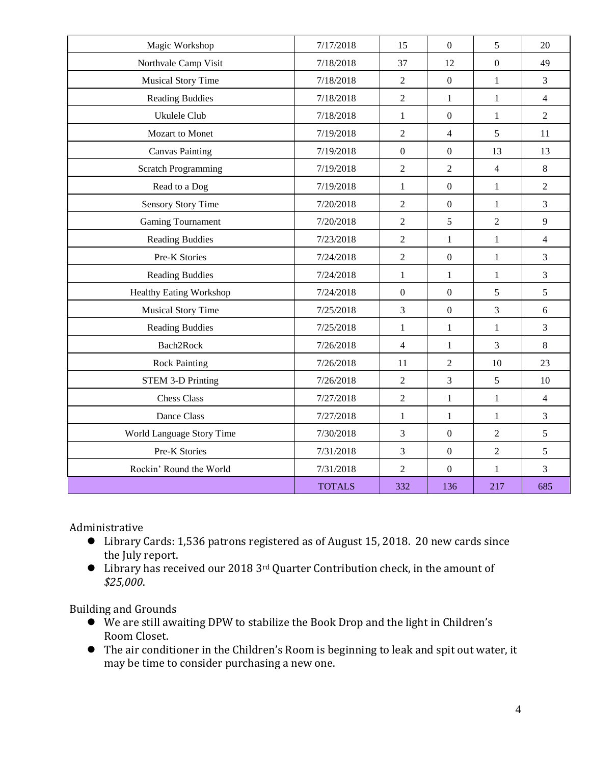| Magic Workshop                 | 7/17/2018     | 15               | $\overline{0}$   | 5              | 20             |
|--------------------------------|---------------|------------------|------------------|----------------|----------------|
| Northvale Camp Visit           | 7/18/2018     | 37               | 12               | $\overline{0}$ | 49             |
| <b>Musical Story Time</b>      | 7/18/2018     | $\overline{2}$   | $\boldsymbol{0}$ | $\mathbf{1}$   | 3              |
| <b>Reading Buddies</b>         | 7/18/2018     | $\overline{2}$   | 1                | $\mathbf{1}$   | $\overline{4}$ |
| Ukulele Club                   | 7/18/2018     | $\mathbf{1}$     | $\boldsymbol{0}$ | $\mathbf{1}$   | $\overline{2}$ |
| Mozart to Monet                | 7/19/2018     | $\overline{2}$   | $\overline{4}$   | 5              | 11             |
| <b>Canvas Painting</b>         | 7/19/2018     | $\mathbf{0}$     | $\overline{0}$   | 13             | 13             |
| <b>Scratch Programming</b>     | 7/19/2018     | $\overline{2}$   | $\overline{2}$   | $\overline{4}$ | 8              |
| Read to a Dog                  | 7/19/2018     | $\mathbf{1}$     | $\mathbf{0}$     | $\mathbf{1}$   | $\overline{c}$ |
| Sensory Story Time             | 7/20/2018     | $\overline{2}$   | $\boldsymbol{0}$ | $\mathbf{1}$   | 3              |
| Gaming Tournament              | 7/20/2018     | $\overline{2}$   | 5                | $\overline{2}$ | 9              |
| <b>Reading Buddies</b>         | 7/23/2018     | $\overline{2}$   | $\mathbf{1}$     | $\mathbf{1}$   | $\overline{4}$ |
| Pre-K Stories                  | 7/24/2018     | $\sqrt{2}$       | $\boldsymbol{0}$ | $\mathbf{1}$   | 3              |
| <b>Reading Buddies</b>         | 7/24/2018     | $\mathbf{1}$     | $\mathbf{1}$     | $\mathbf{1}$   | 3              |
| <b>Healthy Eating Workshop</b> | 7/24/2018     | $\boldsymbol{0}$ | $\overline{0}$   | 5              | 5              |
| <b>Musical Story Time</b>      | 7/25/2018     | $\overline{3}$   | $\mathbf{0}$     | 3              | 6              |
| Reading Buddies                | 7/25/2018     | $\mathbf{1}$     | $\mathbf{1}$     | $\mathbf{1}$   | 3              |
| Bach2Rock                      | 7/26/2018     | $\overline{4}$   | $\mathbf{1}$     | $\overline{3}$ | 8              |
| <b>Rock Painting</b>           | 7/26/2018     | 11               | $\overline{2}$   | 10             | 23             |
| <b>STEM 3-D Printing</b>       | 7/26/2018     | $\overline{2}$   | $\overline{3}$   | 5              | 10             |
| <b>Chess Class</b>             | 7/27/2018     | $\overline{2}$   | $\mathbf{1}$     | $\mathbf{1}$   | $\overline{4}$ |
| Dance Class                    | 7/27/2018     | $\mathbf{1}$     | $\mathbf{1}$     | $\mathbf{1}$   | $\overline{3}$ |
| World Language Story Time      | 7/30/2018     | $\mathfrak{Z}$   | $\boldsymbol{0}$ | $\overline{2}$ | 5              |
| Pre-K Stories                  | 7/31/2018     | $\overline{3}$   | $\boldsymbol{0}$ | $\overline{2}$ | 5              |
| Rockin' Round the World        | 7/31/2018     | $\overline{2}$   | $\overline{0}$   | $\mathbf{1}$   | 3              |
|                                | <b>TOTALS</b> | 332              | 136              | 217            | 685            |

Administrative

- Library Cards: 1,536 patrons registered as of August 15, 2018. 20 new cards since the July report.
- Library has received our 2018 3rd Quarter Contribution check, in the amount of *\$25,000*.

Building and Grounds

- We are still awaiting DPW to stabilize the Book Drop and the light in Children's Room Closet.
- The air conditioner in the Children's Room is beginning to leak and spit out water, it may be time to consider purchasing a new one.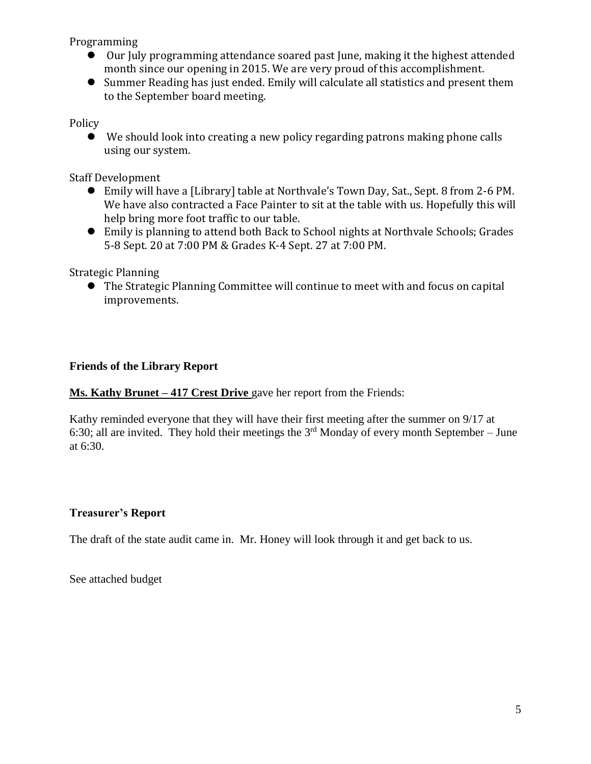Programming

- Our July programming attendance soared past June, making it the highest attended month since our opening in 2015. We are very proud of this accomplishment.
- Summer Reading has just ended. Emily will calculate all statistics and present them to the September board meeting.

Policy

 We should look into creating a new policy regarding patrons making phone calls using our system.

Staff Development

- Emily will have a [Library] table at Northvale's Town Day, Sat., Sept. 8 from 2-6 PM. We have also contracted a Face Painter to sit at the table with us. Hopefully this will help bring more foot traffic to our table.
- Emily is planning to attend both Back to School nights at Northvale Schools; Grades 5-8 Sept. 20 at 7:00 PM & Grades K-4 Sept. 27 at 7:00 PM.

Strategic Planning

 The Strategic Planning Committee will continue to meet with and focus on capital improvements.

## **Friends of the Library Report**

**Ms. Kathy Brunet – 417 Crest Drive** gave her report from the Friends:

Kathy reminded everyone that they will have their first meeting after the summer on 9/17 at 6:30; all are invited. They hold their meetings the  $3<sup>rd</sup>$  Monday of every month September – June at 6:30.

# **Treasurer's Report**

The draft of the state audit came in. Mr. Honey will look through it and get back to us.

See attached budget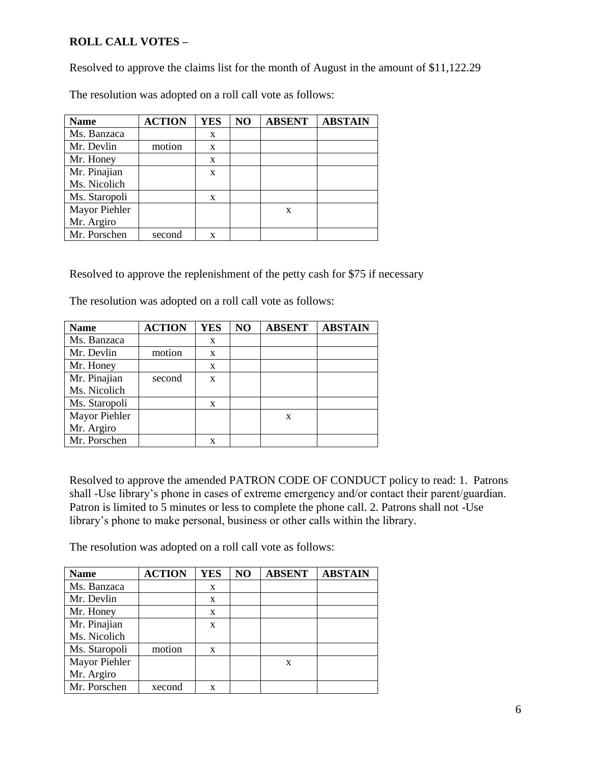# **ROLL CALL VOTES –**

Resolved to approve the claims list for the month of August in the amount of \$11,122.29

| <b>Name</b>   | <b>ACTION</b> | <b>YES</b> | N <sub>O</sub> | <b>ABSENT</b> | <b>ABSTAIN</b> |
|---------------|---------------|------------|----------------|---------------|----------------|
| Ms. Banzaca   |               | X          |                |               |                |
| Mr. Devlin    | motion        | X          |                |               |                |
| Mr. Honey     |               | X          |                |               |                |
| Mr. Pinajian  |               | X          |                |               |                |
| Ms. Nicolich  |               |            |                |               |                |
| Ms. Staropoli |               | X          |                |               |                |
| Mayor Piehler |               |            |                | X             |                |
| Mr. Argiro    |               |            |                |               |                |
| Mr. Porschen  | second        | X          |                |               |                |

The resolution was adopted on a roll call vote as follows:

Resolved to approve the replenishment of the petty cash for \$75 if necessary

The resolution was adopted on a roll call vote as follows:

| <b>Name</b>   | <b>ACTION</b> | <b>YES</b> | NO | <b>ABSENT</b> | <b>ABSTAIN</b> |
|---------------|---------------|------------|----|---------------|----------------|
| Ms. Banzaca   |               | X          |    |               |                |
| Mr. Devlin    | motion        | X          |    |               |                |
| Mr. Honey     |               | X          |    |               |                |
| Mr. Pinajian  | second        | X          |    |               |                |
| Ms. Nicolich  |               |            |    |               |                |
| Ms. Staropoli |               | X          |    |               |                |
| Mayor Piehler |               |            |    | X             |                |
| Mr. Argiro    |               |            |    |               |                |
| Mr. Porschen  |               | X          |    |               |                |

Resolved to approve the amended PATRON CODE OF CONDUCT policy to read: 1. Patrons shall -Use library's phone in cases of extreme emergency and/or contact their parent/guardian. Patron is limited to 5 minutes or less to complete the phone call. 2. Patrons shall not -Use library's phone to make personal, business or other calls within the library.

The resolution was adopted on a roll call vote as follows:

| <b>Name</b>   | <b>ACTION</b> | <b>YES</b> | NO | <b>ABSENT</b> | <b>ABSTAIN</b> |
|---------------|---------------|------------|----|---------------|----------------|
| Ms. Banzaca   |               | X          |    |               |                |
| Mr. Devlin    |               | X          |    |               |                |
| Mr. Honey     |               | X          |    |               |                |
| Mr. Pinajian  |               | X          |    |               |                |
| Ms. Nicolich  |               |            |    |               |                |
| Ms. Staropoli | motion        | X          |    |               |                |
| Mayor Piehler |               |            |    | $\mathbf x$   |                |
| Mr. Argiro    |               |            |    |               |                |
| Mr. Porschen  | xecond        | x          |    |               |                |